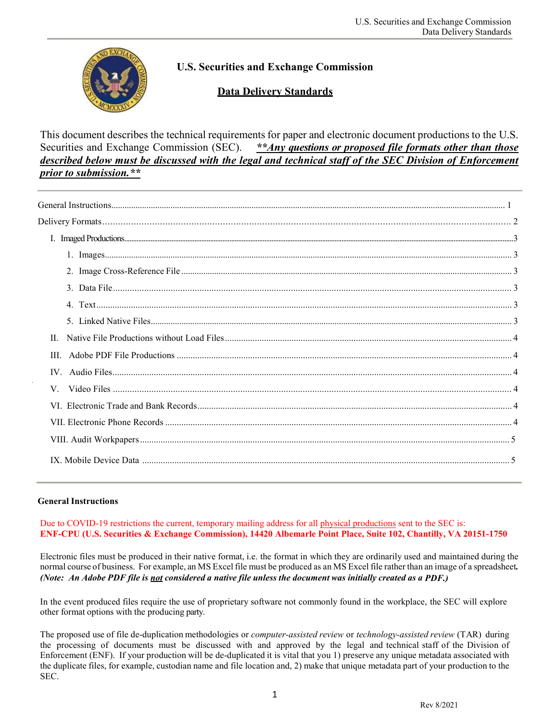

# **U.S. Securities and Exchange Commission**

# **Data Delivery Standards**

This document describes the technical requirements for paper and electronic document productions to the U.S. Securities and Exchange Commission (SEC). *\*\*Any questions or proposed file formats other than those described below must be discussed with the legal and technical staff of the SEC Division of Enforcement prior to submission.\*\**

| III. |
|------|
|      |
| V.   |
|      |
|      |
|      |
|      |

#### **General Instructions**

.

Due to COVID-19 restrictions the current, temporary mailing address for all physical productions sent to the SEC is: **ENF-CPU (U.S. Securities & Exchange Commission), 14420 Albemarle Point Place, Suite 102, Chantilly, VA 20151-1750**

Electronic files must be produced in their native format, i.e. the format in which they are ordinarily used and maintained during the normal course of business. For example, an MS Excel file must be produced as an MS Excel file rather than an image of a spreadsheet*.* (Note: An Adobe PDF file is not considered a native file unless the document was initially created as a PDF.)

In the event produced files require the use of proprietary software not commonly found in the workplace, the SEC will explore other format options with the producing party.

The proposed use of file de-duplication methodologies or *computer-assisted review* or *technology-assisted review* (TAR) during the processing of documents must be discussed with and approved by the legal and technical staff of the Division of Enforcement (ENF). If your production will be de-duplicated it is vital that you 1) preserve any unique metadata associated with the duplicate files, for example, custodian name and file location and, 2) make that unique metadata part of your production to the SEC.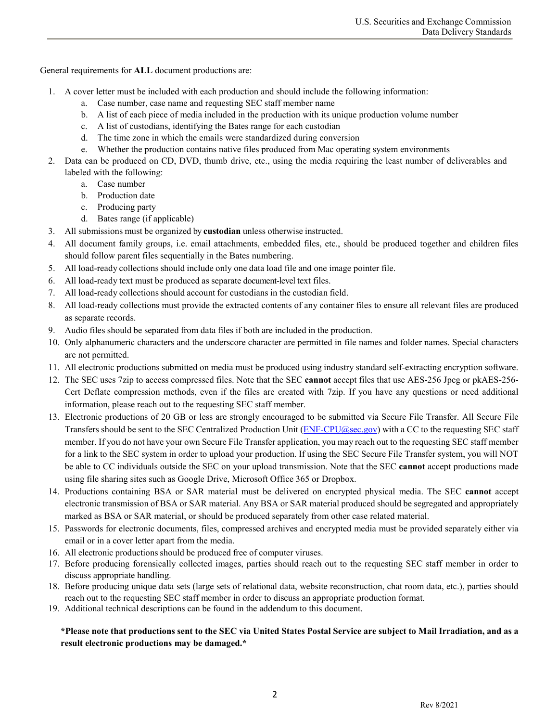General requirements for **ALL** document productions are:

- 1. A cover letter must be included with each production and should include the following information:
	- a. Case number, case name and requesting SEC staff member name
	- b. A list of each piece of media included in the production with its unique production volume number
	- c. A list of custodians, identifying the Bates range for each custodian
	- d. The time zone in which the emails were standardized during conversion
	- e. Whether the production contains native files produced from Mac operating system environments
- 2. Data can be produced on CD, DVD, thumb drive, etc., using the media requiring the least number of deliverables and labeled with the following:
	- a. Case number
	- b. Production date
	- c. Producing party
	- d. Bates range (if applicable)
- 3. All submissions must be organized by **custodian** unless otherwise instructed.
- 4. All document family groups, i.e. email attachments, embedded files, etc., should be produced together and children files should follow parent files sequentially in the Bates numbering.
- 5. All load-ready collections should include only one data load file and one image pointer file.
- 6. All load-ready text must be produced as separate document-level text files.
- 7. All load-ready collections should account for custodians in the custodian field.
- 8. All load-ready collections must provide the extracted contents of any container files to ensure all relevant files are produced as separate records.
- 9. Audio files should be separated from data files if both are included in the production.
- 10. Only alphanumeric characters and the underscore character are permitted in file names and folder names. Special characters are not permitted.
- 11. All electronic productions submitted on media must be produced using industry standard self-extracting encryption software.
- 12. The SEC uses 7zip to access compressed files. Note that the SEC **cannot** accept files that use AES-256 Jpeg or pkAES-256- Cert Deflate compression methods, even if the files are created with 7zip. If you have any questions or need additional information, please reach out to the requesting SEC staff member.
- 13. Electronic productions of 20 GB or less are strongly encouraged to be submitted via Secure File Transfer. All Secure File Transfers should be sent to the SEC Centralized Production Unit [\(ENF-CPU@sec.gov\)](mailto:ENF-CPU@sec.gov) with a CC to the requesting SEC staff member. If you do not have your own Secure File Transfer application, you may reach out to the requesting SEC staff member for a link to the SEC system in order to upload your production. If using the SEC Secure File Transfer system, you will NOT be able to CC individuals outside the SEC on your upload transmission. Note that the SEC **cannot** accept productions made using file sharing sites such as Google Drive, Microsoft Office 365 or Dropbox.
- 14. Productions containing BSA or SAR material must be delivered on encrypted physical media. The SEC **cannot** accept electronic transmission of BSA or SAR material. Any BSA or SAR material produced should be segregated and appropriately marked as BSA or SAR material, or should be produced separately from other case related material.
- 15. Passwords for electronic documents, files, compressed archives and encrypted media must be provided separately either via email or in a cover letter apart from the media.
- 16. All electronic productions should be produced free of computer viruses.
- 17. Before producing forensically collected images, parties should reach out to the requesting SEC staff member in order to discuss appropriate handling.
- 18. Before producing unique data sets (large sets of relational data, website reconstruction, chat room data, etc.), parties should reach out to the requesting SEC staff member in order to discuss an appropriate production format.
- 19. Additional technical descriptions can be found in the addendum to this document.

## **\*Please note that productions sent to the SEC via United States Postal Service are subject to Mail Irradiation, and as a result electronic productions may be damaged.\***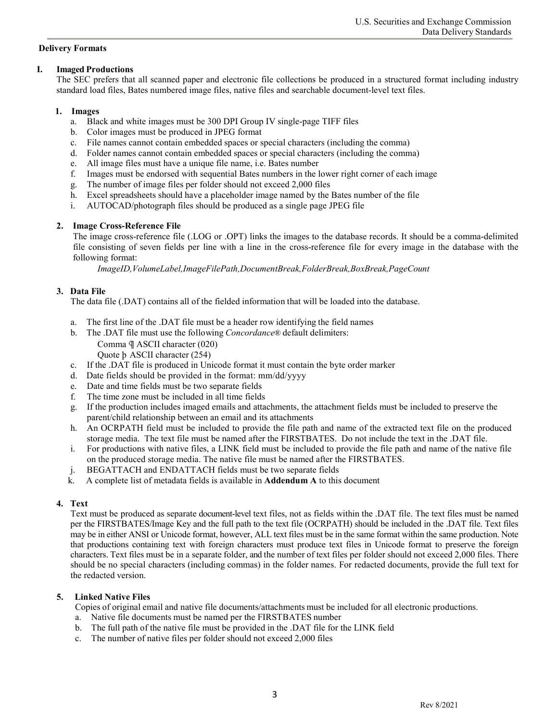#### **Delivery Formats**

#### **I. Imaged Productions**

The SEC prefers that all scanned paper and electronic file collections be produced in a structured format including industry standard load files, Bates numbered image files, native files and searchable document-level text files.

## **1. Images**

- a. Black and white images must be 300 DPI Group IV single-page TIFF files
- b. Color images must be produced in JPEG format
- c. File names cannot contain embedded spaces or special characters (including the comma)
- d. Folder names cannot contain embedded spaces or special characters (including the comma)
- e. All image files must have a unique file name, i.e. Bates number
- f. Images must be endorsed with sequential Bates numbers in the lower right corner of each image
- g. The number of image files per folder should not exceed 2,000 files
- h. Excel spreadsheets should have a placeholder image named by the Bates number of the file
- i. AUTOCAD/photograph files should be produced as a single page JPEG file

## **2. Image Cross-Reference File**

The image cross-reference file (.LOG or .OPT) links the images to the database records. It should be a comma-delimited file consisting of seven fields per line with a line in the cross-reference file for every image in the database with the following format:

*ImageID,VolumeLabel,ImageFilePath,DocumentBreak,FolderBreak,BoxBreak,PageCount*

## **3. Data File**

The data file (.DAT) contains all of the fielded information that will be loaded into the database.

- a. The first line of the .DAT file must be a header row identifying the field names
- b. The .DAT file must use the following *Concordance*® default delimiters:
	- Comma ¶ ASCII character (020)

Quote þ ASCII character (254)

- c. If the .DAT file is produced in Unicode format it must contain the byte order marker
- d. Date fields should be provided in the format: mm/dd/yyyy
- e. Date and time fields must be two separate fields
- f. The time zone must be included in all time fields
- g. If the production includes imaged emails and attachments, the attachment fields must be included to preserve the parent/child relationship between an email and its attachments
- h. An OCRPATH field must be included to provide the file path and name of the extracted text file on the produced storage media. The text file must be named after the FIRSTBATES. Do not include the text in the .DAT file.
- i. For productions with native files, a LINK field must be included to provide the file path and name of the native file on the produced storage media. The native file must be named after the FIRSTBATES.
- j. BEGATTACH and ENDATTACH fields must be two separate fields
- k. A complete list of metadata fields is available in **Addendum A** to this document

## **4. Text**

Text must be produced as separate document-level text files, not as fields within the .DAT file. The text files must be named per the FIRSTBATES/Image Key and the full path to the text file (OCRPATH) should be included in the .DAT file. Text files may be in either ANSI or Unicode format, however, ALL text files must be in the same format within the same production. Note that productions containing text with foreign characters must produce text files in Unicode format to preserve the foreign characters. Text files must be in a separate folder, and the number of text files per folder should not exceed 2,000 files. There should be no special characters (including commas) in the folder names. For redacted documents, provide the full text for the redacted version.

## **5. Linked Native Files**

Copies of original email and native file documents/attachments must be included for all electronic productions.

- a. Native file documents must be named per the FIRSTBATES number
- b. The full path of the native file must be provided in the .DAT file for the LINK field
- c. The number of native files per folder should not exceed 2,000 files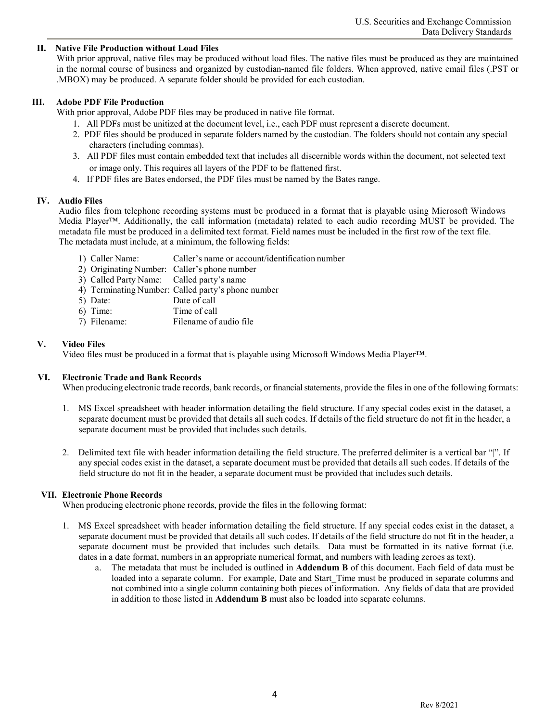#### **II. Native File Production without Load Files**

With prior approval, native files may be produced without load files. The native files must be produced as they are maintained in the normal course of business and organized by custodian-named file folders. When approved, native email files (.PST or .MBOX) may be produced. A separate folder should be provided for each custodian.

#### **III. Adobe PDF File Production**

With prior approval, Adobe PDF files may be produced in native file format.

- 1. All PDFs must be unitized at the document level, i.e., each PDF must represent a discrete document.
- 2. PDF files should be produced in separate folders named by the custodian. The folders should not contain any special characters (including commas).
- 3. All PDF files must contain embedded text that includes all discernible words within the document, not selected text or image only. This requires all layers of the PDF to be flattened first.
- 4. If PDF files are Bates endorsed, the PDF files must be named by the Bates range.

#### **IV. Audio Files**

Audio files from telephone recording systems must be produced in a format that is playable using Microsoft Windows Media Player™. Additionally, the call information (metadata) related to each audio recording MUST be provided. The metadata file must be produced in a delimited text format. Field names must be included in the first row of the text file. The metadata must include, at a minimum, the following fields:

- 1) Caller Name: Caller's name or account/identification number
- 2) Originating Number: Caller's phone number
- 3) Called Party Name: Called party's name
- 4) Terminating Number: Called party's phone number
- 5) Date: Date of call
- 6) Time: Time of call
- 7) Filename: Filename of audio file

#### **V. Video Files**

Video files must be produced in a format that is playable using Microsoft Windows Media Player™.

#### **VI. Electronic Trade and Bank Records**

When producing electronic trade records, bank records, or financial statements, provide the files in one of the following formats:

- 1. MS Excel spreadsheet with header information detailing the field structure. If any special codes exist in the dataset, a separate document must be provided that details all such codes. If details of the field structure do not fit in the header, a separate document must be provided that includes such details.
- 2. Delimited text file with header information detailing the field structure. The preferred delimiter is a vertical bar "|". If any special codes exist in the dataset, a separate document must be provided that details all such codes. If details of the field structure do not fit in the header, a separate document must be provided that includes such details.

#### **VII. Electronic Phone Records**

When producing electronic phone records, provide the files in the following format:

- 1. MS Excel spreadsheet with header information detailing the field structure. If any special codes exist in the dataset, a separate document must be provided that details all such codes. If details of the field structure do not fit in the header, a separate document must be provided that includes such details. Data must be formatted in its native format (i.e. dates in a date format, numbers in an appropriate numerical format, and numbers with leading zeroes as text).
	- a. The metadata that must be included is outlined in **Addendum B** of this document. Each field of data must be loaded into a separate column. For example, Date and Start Time must be produced in separate columns and not combined into a single column containing both pieces of information. Any fields of data that are provided in addition to those listed in **Addendum B** must also be loaded into separate columns.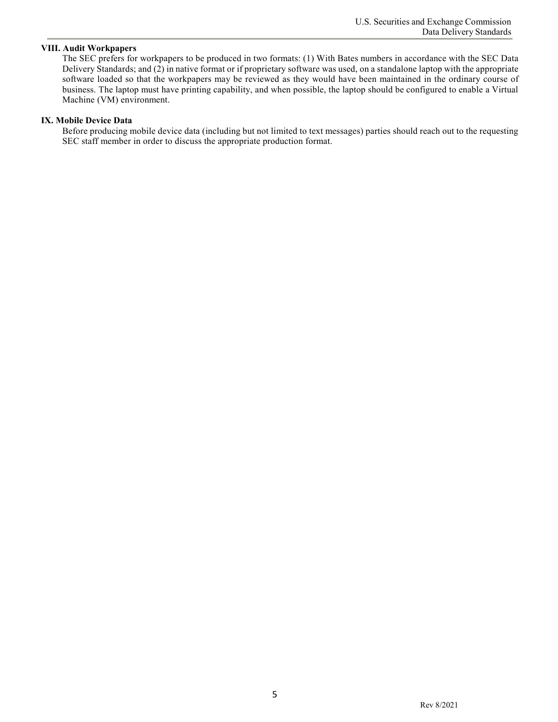#### **VIII. Audit Workpapers**

The SEC prefers for workpapers to be produced in two formats: (1) With Bates numbers in accordance with the SEC Data Delivery Standards; and (2) in native format or if proprietary software was used, on a standalone laptop with the appropriate software loaded so that the workpapers may be reviewed as they would have been maintained in the ordinary course of business. The laptop must have printing capability, and when possible, the laptop should be configured to enable a Virtual Machine (VM) environment.

#### **IX. Mobile Device Data**

Before producing mobile device data (including but not limited to text messages) parties should reach out to the requesting SEC staff member in order to discuss the appropriate production format.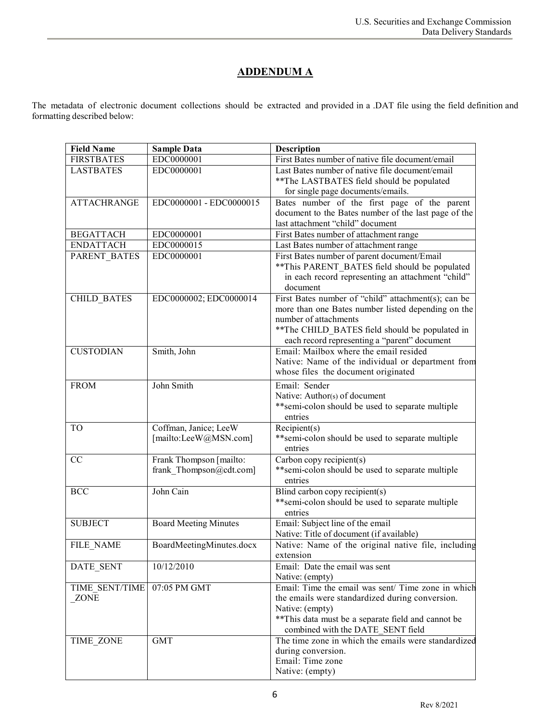# **ADDENDUM A**

The metadata of electronic document collections should be extracted and provided in a .DAT file using the field definition and formatting described below:

| <b>Field Name</b>  | <b>Sample Data</b>           | Description                                          |
|--------------------|------------------------------|------------------------------------------------------|
| <b>FIRSTBATES</b>  | EDC0000001                   | First Bates number of native file document/email     |
| <b>LASTBATES</b>   | EDC0000001                   | Last Bates number of native file document/email      |
|                    |                              | ** The LASTBATES field should be populated           |
|                    |                              | for single page documents/emails.                    |
| <b>ATTACHRANGE</b> | EDC0000001 - EDC0000015      | Bates number of the first page of the parent         |
|                    |                              | document to the Bates number of the last page of the |
|                    |                              | last attachment "child" document                     |
| <b>BEGATTACH</b>   | EDC0000001                   | First Bates number of attachment range               |
| <b>ENDATTACH</b>   | EDC0000015                   | Last Bates number of attachment range                |
| PARENT BATES       | EDC0000001                   | First Bates number of parent document/Email          |
|                    |                              | **This PARENT BATES field should be populated        |
|                    |                              | in each record representing an attachment "child"    |
|                    |                              | document                                             |
| <b>CHILD_BATES</b> | EDC0000002; EDC0000014       | First Bates number of "child" attachment(s); can be  |
|                    |                              | more than one Bates number listed depending on the   |
|                    |                              | number of attachments                                |
|                    |                              | ** The CHILD_BATES field should be populated in      |
|                    |                              | each record representing a "parent" document         |
| <b>CUSTODIAN</b>   | Smith, John                  | Email: Mailbox where the email resided               |
|                    |                              | Native: Name of the individual or department from    |
|                    |                              | whose files the document originated                  |
| <b>FROM</b>        | John Smith                   | Email: Sender                                        |
|                    |                              | Native: Author(s) of document                        |
|                    |                              | **semi-colon should be used to separate multiple     |
|                    |                              | entries                                              |
| <b>TO</b>          | Coffman, Janice; LeeW        | Recipient(s)                                         |
|                    | [mailto:LeeW@MSN.com]        | **semi-colon should be used to separate multiple     |
|                    |                              | entries                                              |
| CC                 | Frank Thompson [mailto:      | Carbon copy recipient(s)                             |
|                    | frank Thompson@cdt.com]      | **semi-colon should be used to separate multiple     |
|                    |                              | entries                                              |
| <b>BCC</b>         | John Cain                    | Blind carbon copy recipient(s)                       |
|                    |                              | ** semi-colon should be used to separate multiple    |
|                    |                              | entries                                              |
| <b>SUBJECT</b>     | <b>Board Meeting Minutes</b> | Email: Subject line of the email                     |
|                    |                              | Native: Title of document (if available)             |
| FILE NAME          | BoardMeetingMinutes.docx     | Native: Name of the original native file, including  |
|                    |                              | extension                                            |
| DATE SENT          | 10/12/2010                   | Email: Date the email was sent                       |
|                    |                              | Native: (empty)                                      |
| TIME SENT/TIME     | 07:05 PM GMT                 | Email: Time the email was sent/ Time zone in which   |
| <b>ZONE</b>        |                              | the emails were standardized during conversion.      |
|                    |                              | Native: (empty)                                      |
|                    |                              | ** This data must be a separate field and cannot be  |
|                    |                              | combined with the DATE SENT field                    |
| TIME ZONE          | <b>GMT</b>                   | The time zone in which the emails were standardized  |
|                    |                              | during conversion.                                   |
|                    |                              | Email: Time zone                                     |
|                    |                              | Native: (empty)                                      |
|                    |                              |                                                      |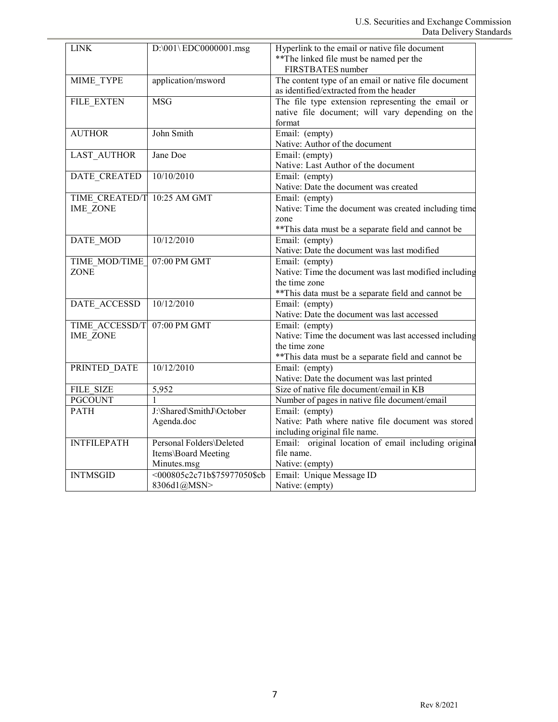| <b>LINK</b>                       | D:\001\EDC0000001.msg                                          | Hyperlink to the email or native file document<br>** The linked file must be named per the<br>FIRSTBATES number                                 |
|-----------------------------------|----------------------------------------------------------------|-------------------------------------------------------------------------------------------------------------------------------------------------|
| MIME_TYPE                         | application/msword                                             | The content type of an email or native file document<br>as identified/extracted from the header                                                 |
| FILE EXTEN                        | <b>MSG</b>                                                     | The file type extension representing the email or<br>native file document; will vary depending on the<br>format                                 |
| <b>AUTHOR</b>                     | John Smith                                                     | Email: (empty)<br>Native: Author of the document                                                                                                |
| <b>LAST AUTHOR</b>                | Jane Doe                                                       | Email: (empty)<br>Native: Last Author of the document                                                                                           |
| DATE_CREATED                      | 10/10/2010                                                     | Email: (empty)<br>Native: Date the document was created                                                                                         |
| TIME CREATED/T<br><b>IME ZONE</b> | 10:25 AM GMT                                                   | Email: (empty)<br>Native: Time the document was created including time<br>zone<br>** This data must be a separate field and cannot be           |
| DATE_MOD                          | 10/12/2010                                                     | Email: (empty)<br>Native: Date the document was last modified                                                                                   |
| TIME MOD/TIME<br><b>ZONE</b>      | 07:00 PM GMT                                                   | Email: (empty)<br>Native: Time the document was last modified including<br>the time zone<br>** This data must be a separate field and cannot be |
| <b>DATE ACCESSD</b>               | 10/12/2010                                                     | Email: (empty)<br>Native: Date the document was last accessed                                                                                   |
| TIME ACCESSD/T<br><b>IME ZONE</b> | 07:00 PM GMT                                                   | Email: (empty)<br>Native: Time the document was last accessed including<br>the time zone<br>** This data must be a separate field and cannot be |
| PRINTED_DATE                      | 10/12/2010                                                     | Email: (empty)<br>Native: Date the document was last printed                                                                                    |
| <b>FILE SIZE</b>                  | 5,952                                                          | Size of native file document/email in KB                                                                                                        |
| <b>PGCOUNT</b>                    |                                                                | Number of pages in native file document/email                                                                                                   |
| <b>PATH</b>                       | J:\Shared\SmithJ\October<br>Agenda.doc                         | Email: (empty)<br>Native: Path where native file document was stored<br>including original file name.                                           |
| <b>INTFILEPATH</b>                | Personal Folders\Deleted<br>Items\Board Meeting<br>Minutes.msg | Email: original location of email including original<br>file name.<br>Native: (empty)                                                           |
| <b>INTMSGID</b>                   | <000805c2c71b\$75977050\$cb<br>8306d1@MSN>                     | Email: Unique Message ID<br>Native: (empty)                                                                                                     |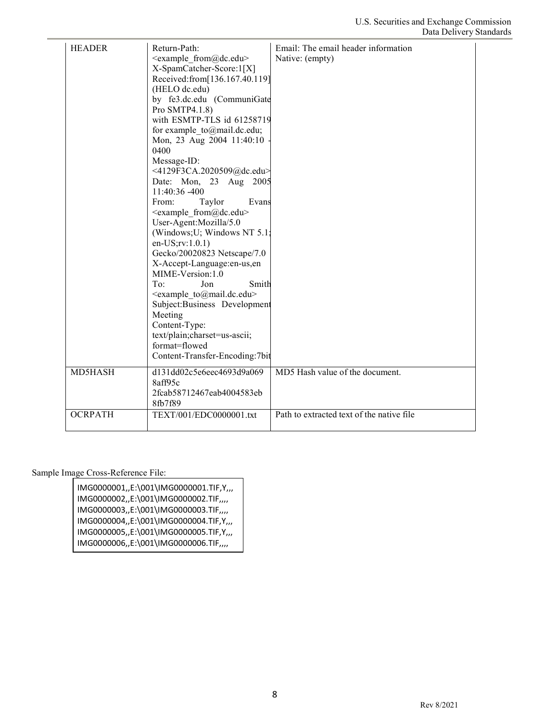| <b>HEADER</b>  | Return-Path:<br><example from@dc.edu=""><br/>X-SpamCatcher-Score:1[X]<br/>Received:from[136.167.40.119]<br/>(HELO dc.edu)<br/>by fe3.dc.edu (CommuniGate<br/>Pro SMTP4.1.8)<br/>with ESMTP-TLS id 61258719<br/>for example to@mail.dc.edu;<br/>Mon, 23 Aug 2004 11:40:10<br/>0400<br/>Message-ID:<br/>&lt;4129F3CA.2020509@dc.edu&gt;<br/>Date: Mon, 23 Aug 2005<br/>11:40:36 -400<br/>From:<br/>Taylor<br/>Evans<br/><example from@dc.edu=""><br/>User-Agent:Mozilla/5.0<br/>(Windows; U; Windows NT 5.1;<br/>en-US;rv:1.0.1)<br/>Gecko/20020823 Netscape/7.0<br/>X-Accept-Language:en-us,en<br/>MIME-Version:1.0<br/>To:<br/>Jon<br/>Smith<br/><example to@mail.dc.edu=""><br/>Subject:Business Development<br/>Meeting<br/>Content-Type:<br/>text/plain;charset=us-ascii;<br/>format=flowed<br/>Content-Transfer-Encoding:7bit</example></example></example> | Email: The email header information<br>Native: (empty) |
|----------------|-----------------------------------------------------------------------------------------------------------------------------------------------------------------------------------------------------------------------------------------------------------------------------------------------------------------------------------------------------------------------------------------------------------------------------------------------------------------------------------------------------------------------------------------------------------------------------------------------------------------------------------------------------------------------------------------------------------------------------------------------------------------------------------------------------------------------------------------------------------------|--------------------------------------------------------|
| MD5HASH        | d131dd02c5e6eec4693d9a069<br>8aff95c<br>2fcab58712467eab4004583eb<br>8fb7f89                                                                                                                                                                                                                                                                                                                                                                                                                                                                                                                                                                                                                                                                                                                                                                                    | MD5 Hash value of the document.                        |
| <b>OCRPATH</b> | TEXT/001/EDC0000001.txt                                                                                                                                                                                                                                                                                                                                                                                                                                                                                                                                                                                                                                                                                                                                                                                                                                         | Path to extracted text of the native file              |

Sample Image Cross-Reference File:

IMG0000001,,E:\001\IMG0000001.TIF,Y,,, IMG0000002,,E:\001\IMG0000002.TIF,,,, IMG0000003,,E:\001\IMG0000003.TIF,,,, IMG0000004,,E:\001\IMG0000004.TIF,Y,,, IMG0000005,,E:\001\IMG0000005.TIF,Y,,, IMG0000006,,E:\001\IMG0000006.TIF,,,,